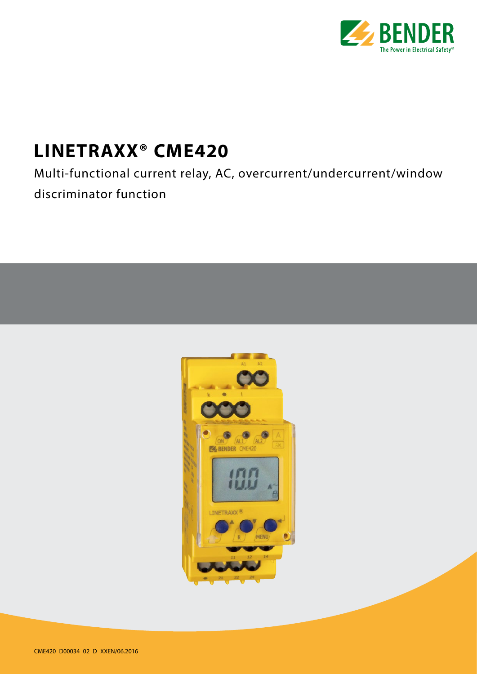

# **LINETRAXX® CME420**

Multi-functional current relay, AC, overcurrent/undercurrent/window discriminator function

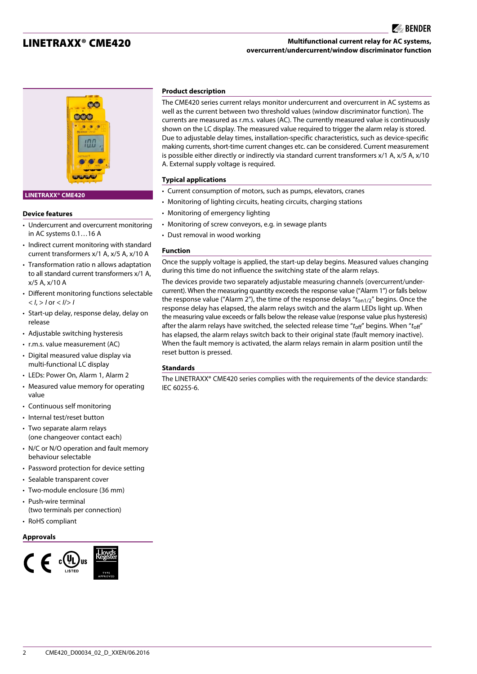## LINETRAXX® CME420

## **Multifunctional current relay for AC systems, overcurrent/undercurrent/window discriminator function**

 $\blacktriangleright$  BENDER



#### **LINETRAXX® CME420**

#### **Device features**

- Undercurrent and overcurrent monitoring in AC systems 0.1…16 A
- Indirect current monitoring with standard current transformers x/1 A, x/5 A, x/10 A
- Transformation ratio n allows adaptation to all standard current transformers x/1 A, x/5 A, x/10 A
- Different monitoring functions selectable  $<$  *I*,  $>$  *I* or  $<$  *I* $>$  *I*
- Start-up delay, response delay, delay on release
- Adjustable switching hysteresis
- r.m.s. value measurement (AC)
- Digital measured value display via multi-functional LC display
- LEDs: Power On, Alarm 1, Alarm 2
- Measured value memory for operating value
- Continuous self monitoring
- Internal test/reset button
- Two separate alarm relays (one changeover contact each)
- N/C or N/O operation and fault memory behaviour selectable
- Password protection for device setting
- Sealable transparent cover
- Two-module enclosure (36 mm)
- Push-wire terminal
- (two terminals per connection)
- RoHS compliant

## **Approvals**



#### **Product description**

The CME420 series current relays monitor undercurrent and overcurrent in AC systems as well as the current between two threshold values (window discriminator function). The currents are measured as r.m.s. values (AC). The currently measured value is continuously shown on the LC display. The measured value required to trigger the alarm relay is stored. Due to adjustable delay times, installation-specific characteristics, such as device-specific making currents, short-time current changes etc. can be considered. Current measurement is possible either directly or indirectly via standard current transformers x/1 A, x/5 A, x/10 A. External supply voltage is required.

### **Typical applications**

- Current consumption of motors, such as pumps, elevators, cranes
- Monitoring of lighting circuits, heating circuits, charging stations
- Monitoring of emergency lighting
- Monitoring of screw conveyors, e.g. in sewage plants
- Dust removal in wood working

#### **Function**

Once the supply voltage is applied, the start-up delay begins. Measured values changing during this time do not influence the switching state of the alarm relays.

The devices provide two separately adjustable measuring channels (overcurrent/undercurrent). When the measuring quantity exceeds the response value ("Alarm 1") or falls below the response value ("Alarm 2"), the time of the response delays "t<sub>on1/2</sub>" begins. Once the response delay has elapsed, the alarm relays switch and the alarm LEDs light up. When the measuring value exceeds or falls below the release value (response value plus hysteresis) after the alarm relays have switched, the selected release time "*t*off" begins. When "*t*off" has elapsed, the alarm relays switch back to their original state (fault memory inactive). When the fault memory is activated, the alarm relays remain in alarm position until the reset button is pressed.

#### **Standards**

The LINETRAXX® CME420 series complies with the requirements of the device standards: IEC 60255-6.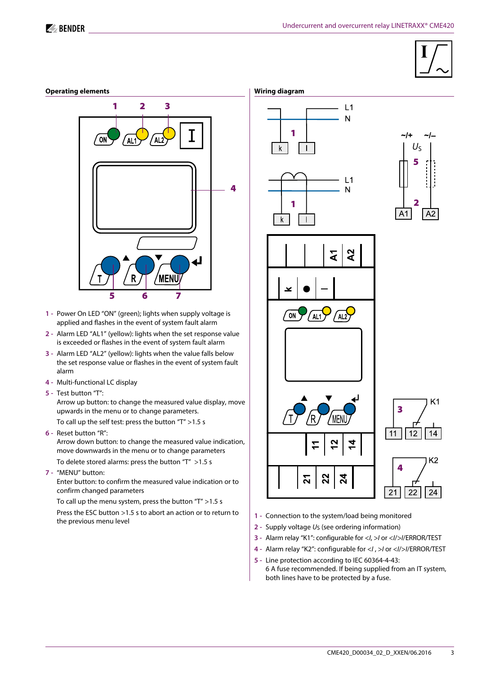





- **1 -** Power On LED "ON" (green); lights when supply voltage is applied and flashes in the event of system fault alarm
- **2 -** Alarm LED "AL1" (yellow): lights when the set response value is exceeded or flashes in the event of system fault alarm
- **3 -** Alarm LED "AL2" (yellow): lights when the value falls below the set response value or flashes in the event of system fault alarm
- **4 -** Multi-functional LC display
- **5 -** Test button "T":

Arrow up button: to change the measured value display, move upwards in the menu or to change parameters.

To call up the self test: press the button "T" >1.5 s

**6 -** Reset button "R":

Arrow down button: to change the measured value indication, move downwards in the menu or to change parameters

To delete stored alarms: press the button "T" >1.5 s

**7 -** "MENU" button:

Enter button: to confirm the measured value indication or to confirm changed parameters

 To call up the menu system, press the button "T" >1.5 s Press the ESC button >1.5 s to abort an action or to return to the previous menu level









- **1 -** Connection to the system/load being monitored
- **2 -** Supply voltage *U*S (see ordering information)
- **3 -** Alarm relay "K1": configurable for <*I*, >*I* or <*I*/>*I*/ERROR/TEST
- **4 -** Alarm relay "K2": configurable for <*I* , >*I* or <*I*/>*I*/ERROR/TEST
- **5 -** Line protection according to IEC 60364-4-43: 6 A fuse recommended. If being supplied from an IT system, both lines have to be protected by a fuse.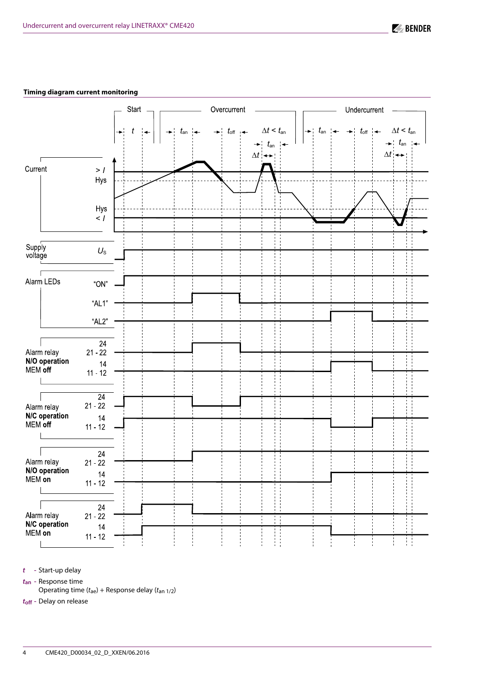## **Timing diagram current monitoring**

|                                                                                                | Start $\overline{a}$ | Overcurrent                            | Undercurrent                                                                                                                                                                                                                                                                         |
|------------------------------------------------------------------------------------------------|----------------------|----------------------------------------|--------------------------------------------------------------------------------------------------------------------------------------------------------------------------------------------------------------------------------------------------------------------------------------|
|                                                                                                | t<br>$\rightarrow$   | $t_{\sf an}$<br>$\Delta t \rightarrow$ | $\rightarrow$ $t_{\text{off}}$ $\leftarrow$ $\Delta t < t_{\text{an}}$ $\left  \begin{array}{c}   \ \ \text{+} \ \ \text{tan} \ \ \text{+} \end{array} \right $<br>+ $t_{\text{off}}$ + $\Delta t$ < $t_{\text{an}}$<br>+ $t_{\text{an}}$ + $\Delta t$<br>$\Delta t$ + $\rightarrow$ |
| Current<br>$>$ $\prime$<br>Hys                                                                 |                      |                                        |                                                                                                                                                                                                                                                                                      |
| Hys<br>$<$ $\cal I$                                                                            |                      |                                        |                                                                                                                                                                                                                                                                                      |
| Supply<br>$U_{\rm S}$<br>voltage                                                               |                      |                                        |                                                                                                                                                                                                                                                                                      |
| Alarm LEDs<br>" $ON"$                                                                          |                      |                                        |                                                                                                                                                                                                                                                                                      |
| " $AL1"$<br>" $AL2$ "                                                                          |                      |                                        |                                                                                                                                                                                                                                                                                      |
| $24\,$<br>Alarm relay<br>$21 - 22$<br>N/O operation<br>14<br>MEM off<br>$11 - 12$              |                      |                                        |                                                                                                                                                                                                                                                                                      |
| $\overline{24}$<br>$21 - 22$<br>Alarm relay<br>N/C operation<br>$14\,$<br>MEM off<br>$11 - 12$ |                      |                                        |                                                                                                                                                                                                                                                                                      |
| 24<br>Alarm relay<br>$21 - 22$<br>N/O operation<br>14<br>MEM on<br>$11 - 12$                   |                      |                                        |                                                                                                                                                                                                                                                                                      |
| 24<br>Alarm relay<br>$21 - 22$<br>N/C operation<br>14<br>MEM on<br>$11 - 12$                   |                      |                                        | H                                                                                                                                                                                                                                                                                    |

*t* **-** Start-up delay

*t***an -** Response time

Operating time (*t*ae) + Response delay (*t*an 1/2)

*t***off -** Delay on release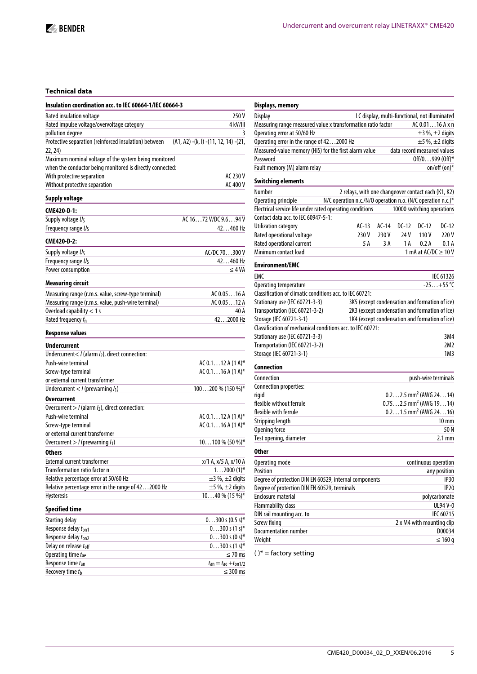## **Technical data**

| Insulation coordination acc. to IEC 60664-1/IEC 60664-3                  |                                               |
|--------------------------------------------------------------------------|-----------------------------------------------|
| Rated insulation voltage                                                 | 250 V                                         |
| Rated impulse voltage/overvoltage category                               | 4 kV/III                                      |
| pollution degree                                                         |                                               |
| Protective separation (reinforced insulation) between<br>22, 24)         | $(A1, A2) - (k, l) - (11, 12, 14) - (21,$     |
| Maximum nominal voltage of the system being monitored                    |                                               |
| when the conductor being monitored is directly connected:                |                                               |
| With protective separation                                               | AC 230 V                                      |
| Without protective separation                                            | AC 400 V                                      |
| <b>Supply voltage</b>                                                    |                                               |
| CME420-D-1:                                                              |                                               |
| Supply voltage Us                                                        | AC 1672 V/DC 9.694 V                          |
| Frequency range U <sub>S</sub>                                           | 42460 Hz                                      |
| CME420-D-2:                                                              |                                               |
| Supply voltage Us                                                        | AC/DC 70300 V                                 |
| Frequency range Us                                                       | 42460 Hz                                      |
| Power consumption                                                        | $\leq 4 VA$                                   |
| <b>Measuring circuit</b>                                                 |                                               |
| Measuring range (r.m.s. value, screw-type terminal)                      | AC 0.0516 A                                   |
| Measuring range (r.m.s. value, push-wire terminal)                       | AC 0.0512 A                                   |
| Overload capability $<$ 1 s                                              | 40 A                                          |
| Rated frequency f <sub>n</sub>                                           | 422000 Hz                                     |
| <b>Response values</b>                                                   |                                               |
| <b>Undercurrent</b>                                                      |                                               |
| Undercurrent <td></td>                                                   |                                               |
| Push-wire terminal                                                       | AC $0.112A(1A)^*$                             |
| Screw-type terminal                                                      | AC $0.116A(1A)^*$                             |
| or external current transformer                                          |                                               |
| Undercurrent < $I$ (prewarning $I_1$ )                                   | $100200\%$ (150 %)*                           |
| <b>Overcurrent</b>                                                       |                                               |
| Overcurrent $> I$ (alarm $I_2$ ), direct connection:                     |                                               |
| Push-wire terminal                                                       | AC 0.112 A (1 A)*                             |
| Screw-type terminal                                                      | AC $0.116A(1A)^*$                             |
| or external current transformer                                          |                                               |
| Overcurrent $>$ / (prewarning $I_1$ )                                    | $10100\%$ (50 %)*                             |
| <b>Others</b>                                                            |                                               |
| <b>External current transformer</b>                                      | x/1 A, x/5 A, x/10 A                          |
| Transformation ratio factor n                                            | $12000(1)$ *                                  |
| Relative percentage error at 50/60 Hz                                    | $\pm$ 3 %, $\pm$ 2 digits                     |
| Relative percentage error in the range of 422000 Hz<br><b>Hysteresis</b> | $\pm$ 5 %, $\pm$ 2 digits<br>$1040\%$ (15 %)* |
|                                                                          |                                               |
| <b>Specified time</b>                                                    |                                               |
| Starting delay                                                           | $0300 s (0.5 s)^*$                            |
| Response delay t <sub>on1</sub>                                          | $0300 s (1 s)^*$                              |
| Response delay ton2<br>Delay on release toff                             | $0300 s (0 s)^*$<br>$0300 s (1 s)^*$          |
| Operating time tae                                                       | $\leq$ 70 ms                                  |
| Response time tan                                                        | $t_{\rm an} = t_{\rm ae} + t_{\rm on 1/2}$    |
| Recovery time tb                                                         | $\leq$ 300 ms                                 |

| Displays, memory                                                                   |                                                     |         |                                               |                           |                           |
|------------------------------------------------------------------------------------|-----------------------------------------------------|---------|-----------------------------------------------|---------------------------|---------------------------|
| <b>Display</b>                                                                     |                                                     |         | LC display, multi-functional, not illuminated |                           |                           |
| Measuring range measured value x transformation ratio factor                       |                                                     |         |                                               | AC 0.0116 A x n           |                           |
| Operating error at 50/60 Hz                                                        |                                                     |         |                                               |                           | $\pm$ 3 %, $\pm$ 2 digits |
| Operating error in the range of 422000 Hz                                          |                                                     |         |                                               |                           | $\pm$ 5 %, $\pm$ 2 digits |
| Measured-value memory (HiS) for the first alarm value                              |                                                     |         | data record measured values                   |                           |                           |
| Password                                                                           |                                                     |         |                                               | $Off/0999$ (Off)*         |                           |
| Fault memory (M) alarm relay                                                       |                                                     |         |                                               |                           | on/off (on)*              |
| <b>Switching elements</b>                                                          |                                                     |         |                                               |                           |                           |
| Number                                                                             | 2 relays, with one changeover contact each (K1, K2) |         |                                               |                           |                           |
| N/C operation n.c./N/O operation n.o. (N/C operation n.c.)*<br>Operating principle |                                                     |         |                                               |                           |                           |
| Electrical service life under rated operating conditions                           |                                                     |         | 10000 switching operations                    |                           |                           |
| Contact data acc. to IEC 60947-5-1:                                                |                                                     |         |                                               |                           |                           |
| Utilization category                                                               | $AC-13$                                             | $AC-14$ | $DC-12$                                       | $DC-12$                   | DC-12                     |
| Rated operational voltage                                                          | 230 V                                               | 230 V   | 24 V                                          | 110V                      | 220 V                     |
| Rated operational current                                                          | 5 A                                                 | 3 A     | 1 A                                           | 0.2A                      | 0.1A                      |
| Minimum contact load                                                               |                                                     |         |                                               | 1 mA at AC/DC $\geq$ 10 V |                           |
| <b>Environment/EMC</b>                                                             |                                                     |         |                                               |                           |                           |
| <b>EMC</b>                                                                         |                                                     |         |                                               |                           | IEC 61326                 |
| Operating temperature                                                              |                                                     |         |                                               |                           | $-25+55$ °C               |
| Classification of climatic conditions acc. to IEC 60721:                           |                                                     |         |                                               |                           |                           |
| Stationary use (IEC 60721-3-3)                                                     | 3K5 (except condensation and formation of ice)      |         |                                               |                           |                           |
| Transportation (IEC 60721-3-2)                                                     | 2K3 (except condensation and formation of ice)      |         |                                               |                           |                           |
| Storage (IEC 60721-3-1)                                                            | 1K4 (except condensation and formation of ice)      |         |                                               |                           |                           |
| Classification of mechanical conditions acc. to IEC 60721:                         |                                                     |         |                                               |                           |                           |
| Stationary use (IEC 60721-3-3)                                                     |                                                     |         |                                               |                           | 3M4                       |
| Transportation (IEC 60721-3-2)                                                     |                                                     |         |                                               |                           | 2M2                       |
| Storage (IEC 60721-3-1)                                                            |                                                     |         |                                               |                           | 1M <sub>3</sub>           |
|                                                                                    |                                                     |         |                                               |                           |                           |
| Connection                                                                         |                                                     |         |                                               |                           |                           |
| Connection                                                                         |                                                     |         |                                               | push-wire terminals       |                           |
| Connection properties:                                                             |                                                     |         |                                               |                           |                           |
| rigid                                                                              |                                                     |         | $0.22.5$ mm <sup>2</sup> (AWG 2414)           |                           |                           |
| flexible without ferrule                                                           |                                                     |         | $0.752.5$ mm <sup>2</sup> (AWG 1914)          |                           |                           |
| flexible with ferrule                                                              |                                                     |         | $0.21.5$ mm <sup>2</sup> (AWG 2416)           |                           |                           |
| Stripping length                                                                   |                                                     |         |                                               |                           | $10 \text{ mm}$           |
| Opening force                                                                      |                                                     |         |                                               |                           | 50 N                      |
| Test opening, diameter                                                             |                                                     |         |                                               |                           | $2.1 \text{ mm}$          |
| <b>Other</b>                                                                       |                                                     |         |                                               |                           |                           |
| Operating mode                                                                     |                                                     |         |                                               | continuous operation      |                           |
| Position                                                                           |                                                     |         |                                               |                           | any position              |
| Degree of protection DIN EN 60529, internal components                             |                                                     |         |                                               |                           | <b>IP30</b>               |
| Degree of protection DIN EN 60529, terminals                                       |                                                     |         |                                               |                           | <b>IP20</b>               |
| <b>Enclosure material</b>                                                          |                                                     |         |                                               |                           | polycarbonate             |
| Flammability class                                                                 |                                                     |         |                                               |                           | UL94 V-0                  |
| DIN rail mounting acc. to                                                          |                                                     |         |                                               |                           | IEC 60715                 |
| Screw fixing                                                                       |                                                     |         |                                               | 2 x M4 with mounting clip |                           |
| Documentation number                                                               |                                                     |         |                                               |                           | D00034                    |
| Weight                                                                             |                                                     |         |                                               |                           | $\leq 160$ g              |

( )\* = factory setting